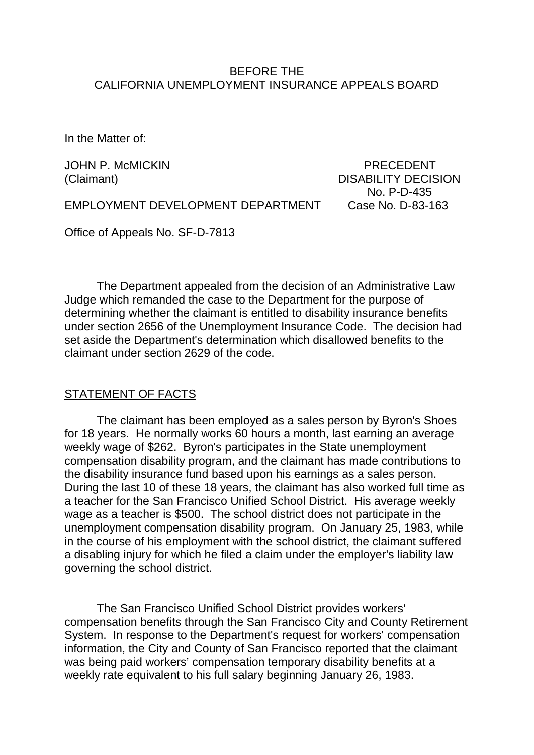### BEFORE THE CALIFORNIA UNEMPLOYMENT INSURANCE APPEALS BOARD

In the Matter of:

JOHN P. McMICKIN PRECEDENT (Claimant) DISABILITY DECISION No. P-D-435

EMPLOYMENT DEVELOPMENT DEPARTMENT Case No. D-83-163

Office of Appeals No. SF-D-7813

The Department appealed from the decision of an Administrative Law Judge which remanded the case to the Department for the purpose of determining whether the claimant is entitled to disability insurance benefits under section 2656 of the Unemployment Insurance Code. The decision had set aside the Department's determination which disallowed benefits to the claimant under section 2629 of the code.

#### STATEMENT OF FACTS

The claimant has been employed as a sales person by Byron's Shoes for 18 years. He normally works 60 hours a month, last earning an average weekly wage of \$262. Byron's participates in the State unemployment compensation disability program, and the claimant has made contributions to the disability insurance fund based upon his earnings as a sales person. During the last 10 of these 18 years, the claimant has also worked full time as a teacher for the San Francisco Unified School District. His average weekly wage as a teacher is \$500. The school district does not participate in the unemployment compensation disability program. On January 25, 1983, while in the course of his employment with the school district, the claimant suffered a disabling injury for which he filed a claim under the employer's liability law governing the school district.

The San Francisco Unified School District provides workers' compensation benefits through the San Francisco City and County Retirement System. In response to the Department's request for workers' compensation information, the City and County of San Francisco reported that the claimant was being paid workers' compensation temporary disability benefits at a weekly rate equivalent to his full salary beginning January 26, 1983.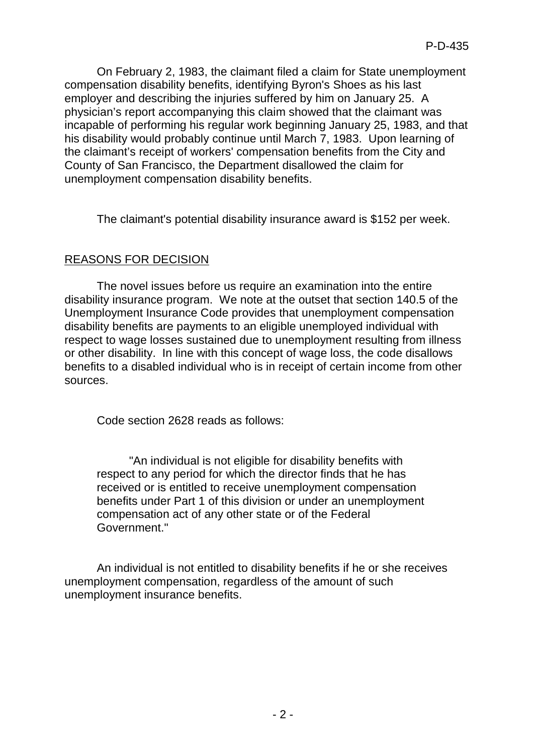On February 2, 1983, the claimant filed a claim for State unemployment compensation disability benefits, identifying Byron's Shoes as his last employer and describing the injuries suffered by him on January 25. A physician's report accompanying this claim showed that the claimant was incapable of performing his regular work beginning January 25, 1983, and that his disability would probably continue until March 7, 1983. Upon learning of the claimant's receipt of workers' compensation benefits from the City and County of San Francisco, the Department disallowed the claim for unemployment compensation disability benefits.

The claimant's potential disability insurance award is \$152 per week.

# REASONS FOR DECISION

The novel issues before us require an examination into the entire disability insurance program. We note at the outset that section 140.5 of the Unemployment Insurance Code provides that unemployment compensation disability benefits are payments to an eligible unemployed individual with respect to wage losses sustained due to unemployment resulting from illness or other disability. In line with this concept of wage loss, the code disallows benefits to a disabled individual who is in receipt of certain income from other sources.

Code section 2628 reads as follows:

"An individual is not eligible for disability benefits with respect to any period for which the director finds that he has received or is entitled to receive unemployment compensation benefits under Part 1 of this division or under an unemployment compensation act of any other state or of the Federal Government."

An individual is not entitled to disability benefits if he or she receives unemployment compensation, regardless of the amount of such unemployment insurance benefits.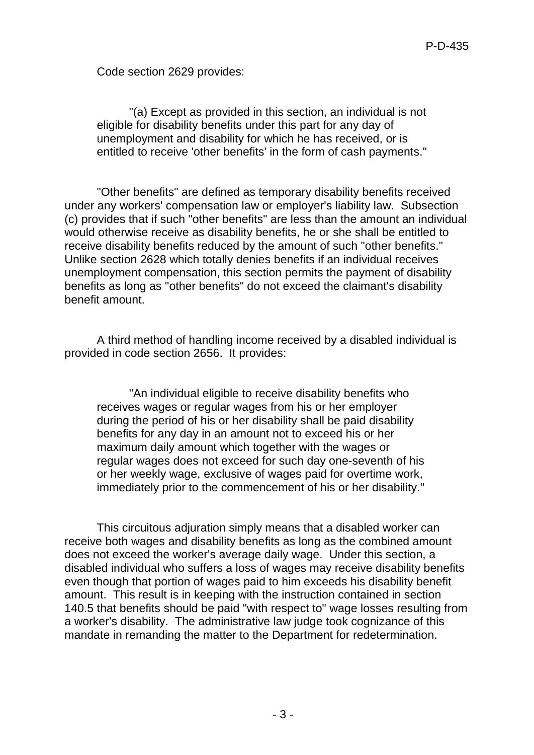Code section 2629 provides:

"(a) Except as provided in this section, an individual is not eligible for disability benefits under this part for any day of unemployment and disability for which he has received, or is entitled to receive 'other benefits' in the form of cash payments."

"Other benefits" are defined as temporary disability benefits received under any workers' compensation law or employer's liability law. Subsection (c) provides that if such "other benefits" are less than the amount an individual would otherwise receive as disability benefits, he or she shall be entitled to receive disability benefits reduced by the amount of such "other benefits." Unlike section 2628 which totally denies benefits if an individual receives unemployment compensation, this section permits the payment of disability benefits as long as "other benefits" do not exceed the claimant's disability benefit amount.

A third method of handling income received by a disabled individual is provided in code section 2656. It provides:

"An individual eligible to receive disability benefits who receives wages or regular wages from his or her employer during the period of his or her disability shall be paid disability benefits for any day in an amount not to exceed his or her maximum daily amount which together with the wages or regular wages does not exceed for such day one-seventh of his or her weekly wage, exclusive of wages paid for overtime work, immediately prior to the commencement of his or her disability."

This circuitous adjuration simply means that a disabled worker can receive both wages and disability benefits as long as the combined amount does not exceed the worker's average daily wage. Under this section, a disabled individual who suffers a loss of wages may receive disability benefits even though that portion of wages paid to him exceeds his disability benefit amount. This result is in keeping with the instruction contained in section 140.5 that benefits should be paid "with respect to" wage losses resulting from a worker's disability. The administrative law judge took cognizance of this mandate in remanding the matter to the Department for redetermination.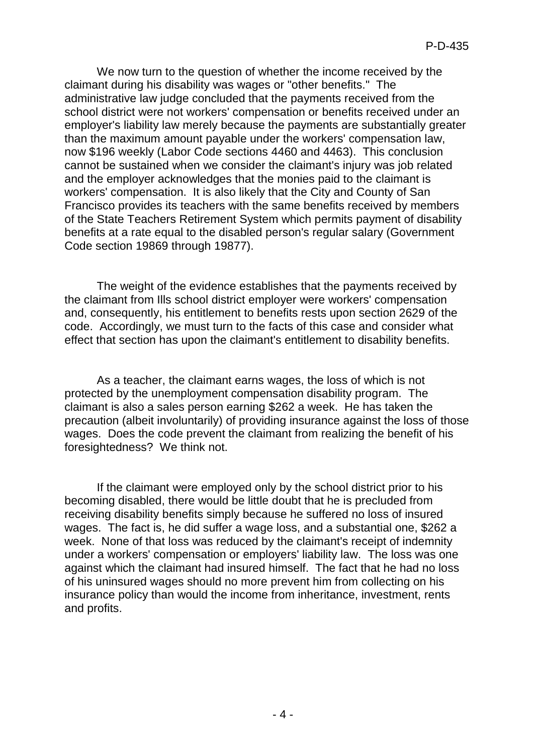We now turn to the question of whether the income received by the claimant during his disability was wages or "other benefits." The administrative law judge concluded that the payments received from the school district were not workers' compensation or benefits received under an employer's liability law merely because the payments are substantially greater than the maximum amount payable under the workers' compensation law, now \$196 weekly (Labor Code sections 4460 and 4463). This conclusion cannot be sustained when we consider the claimant's injury was job related and the employer acknowledges that the monies paid to the claimant is workers' compensation. It is also likely that the City and County of San Francisco provides its teachers with the same benefits received by members of the State Teachers Retirement System which permits payment of disability benefits at a rate equal to the disabled person's regular salary (Government Code section 19869 through 19877).

The weight of the evidence establishes that the payments received by the claimant from Ills school district employer were workers' compensation and, consequently, his entitlement to benefits rests upon section 2629 of the code. Accordingly, we must turn to the facts of this case and consider what effect that section has upon the claimant's entitlement to disability benefits.

As a teacher, the claimant earns wages, the loss of which is not protected by the unemployment compensation disability program. The claimant is also a sales person earning \$262 a week. He has taken the precaution (albeit involuntarily) of providing insurance against the loss of those wages. Does the code prevent the claimant from realizing the benefit of his foresightedness? We think not.

If the claimant were employed only by the school district prior to his becoming disabled, there would be little doubt that he is precluded from receiving disability benefits simply because he suffered no loss of insured wages. The fact is, he did suffer a wage loss, and a substantial one, \$262 a week. None of that loss was reduced by the claimant's receipt of indemnity under a workers' compensation or employers' liability law. The loss was one against which the claimant had insured himself. The fact that he had no loss of his uninsured wages should no more prevent him from collecting on his insurance policy than would the income from inheritance, investment, rents and profits.